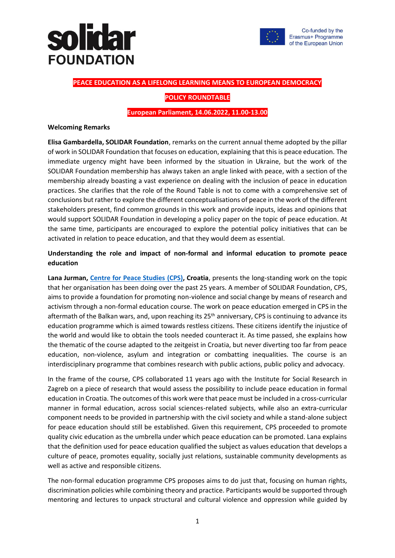## **Jida FOUNDATION**



#### **PEACE EDUCATION AS A LIFELONG LEARNING MEANS TO EUROPEAN DEMOCRACY**

#### **POLICY ROUNDTABLE**

#### **European Parliament, 14.06.2022, 11.00-13.00**

#### **Welcoming Remarks**

**Elisa Gambardella, SOLIDAR Foundation**, remarks on the current annual theme adopted by the pillar of work in SOLIDAR Foundation that focuses on education, explaining that this is peace education. The immediate urgency might have been informed by the situation in Ukraine, but the work of the SOLIDAR Foundation membership has always taken an angle linked with peace, with a section of the membership already boasting a vast experience on dealing with the inclusion of peace in education practices. She clarifies that the role of the Round Table is not to come with a comprehensive set of conclusions but rather to explore the different conceptualisations of peace in the work of the different stakeholders present, find common grounds in this work and provide inputs, ideas and opinions that would support SOLIDAR Foundation in developing a policy paper on the topic of peace education. At the same time, participants are encouraged to explore the potential policy initiatives that can be activated in relation to peace education, and that they would deem as essential.

### **Understanding the role and impact of non-formal and informal education to promote peace education**

**Lana Jurman, [Centre for Peace Studies](https://www.cms.hr/en) (CPS), Croatia**, presents the long-standing work on the topic that her organisation has been doing over the past 25 years. A member of SOLIDAR Foundation, CPS, aims to provide a foundation for promoting non-violence and social change by means of research and activism through a non-formal education course. The work on peace education emerged in CPS in the aftermath of the Balkan wars, and, upon reaching its 25<sup>th</sup> anniversary, CPS is continuing to advance its education programme which is aimed towards restless citizens. These citizens identify the injustice of the world and would like to obtain the tools needed counteract it. As time passed, she explains how the thematic of the course adapted to the zeitgeist in Croatia, but never diverting too far from peace education, non-violence, asylum and integration or combatting inequalities. The course is an interdisciplinary programme that combines research with public actions, public policy and advocacy.

In the frame of the course, CPS collaborated 11 years ago with the Institute for Social Research in Zagreb on a piece of research that would assess the possibility to include peace education in formal education in Croatia. The outcomes of this work were that peace must be included in a cross-curricular manner in formal education, across social sciences-related subjects, while also an extra-curricular component needs to be provided in partnership with the civil society and while a stand-alone subject for peace education should still be established. Given this requirement, CPS proceeded to promote quality civic education as the umbrella under which peace education can be promoted. Lana explains that the definition used for peace education qualified the subject as values education that develops a culture of peace, promotes equality, socially just relations, sustainable community developments as well as active and responsible citizens.

The non-formal education programme CPS proposes aims to do just that, focusing on human rights, discrimination policies while combining theory and practice. Participants would be supported through mentoring and lectures to unpack structural and cultural violence and oppression while guided by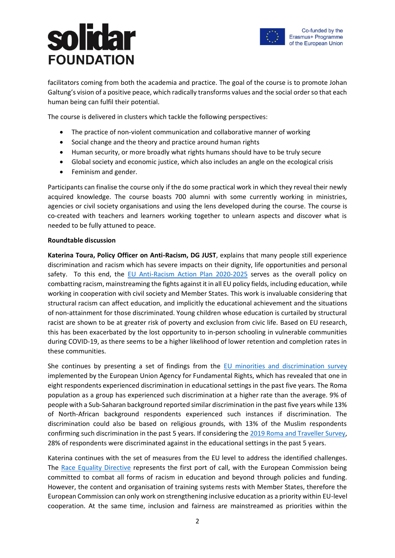# **Tda FOUNDATION**



facilitators coming from both the academia and practice. The goal of the course is to promote Johan Galtung's vision of a positive peace, which radically transforms values and the social order so that each human being can fulfil their potential.

The course is delivered in clusters which tackle the following perspectives:

- The practice of non-violent communication and collaborative manner of working
- Social change and the theory and practice around human rights
- Human security, or more broadly what rights humans should have to be truly secure
- Global society and economic justice, which also includes an angle on the ecological crisis
- Feminism and gender.

Participants can finalise the course only if the do some practical work in which they reveal their newly acquired knowledge. The course boasts 700 alumni with some currently working in ministries, agencies or civil society organisations and using the lens developed during the course. The course is co-created with teachers and learners working together to unlearn aspects and discover what is needed to be fully attuned to peace.

#### **Roundtable discussion**

**Katerina Toura, Policy Officer on Anti-Racism, DG JUST**, explains that many people still experience discrimination and racism which has severe impacts on their dignity, life opportunities and personal safety. To this end, the [EU Anti-Racism Action Plan 2020-2025](https://ec.europa.eu/info/policies/justice-and-fundamental-rights/combatting-discrimination/racism-and-xenophobia/eu-anti-racism-action-plan-2020-2025_en) serves as the overall policy on combatting racism, mainstreaming the fights against it in all EU policy fields, including education, while working in cooperation with civil society and Member States. This work is invaluable considering that structural racism can affect education, and implicitly the educational achievement and the situations of non-attainment for those discriminated. Young children whose education is curtailed by structural racist are shown to be at greater risk of poverty and exclusion from civic life. Based on EU research, this has been exacerbated by the lost opportunity to in-person schooling in vulnerable communities during COVID-19, as there seems to be a higher likelihood of lower retention and completion rates in these communities.

She continues by presenting a set of findings from the [EU minorities and discrimination survey](https://fra.europa.eu/en/news/2020/fras-second-minorities-and-discrimination-survey-dataset-now-available) implemented by the European Union Agency for Fundamental Rights, which has revealed that one in eight respondents experienced discrimination in educational settings in the past five years. The Roma population as a group has experienced such discrimination at a higher rate than the average. 9% of people with a Sub-Saharan background reported similar discrimination in the past five years while 13% of North-African background respondents experienced such instances if discrimination. The discrimination could also be based on religious grounds, with 13% of the Muslim respondents confirming such discrimination in the past 5 years. If considering the [2019 Roma and Traveller Survey,](https://fra.europa.eu/en/publication/2020/roma-travellers-survey) 28% of respondents were discriminated against in the educational settings in the past 5 years.

Katerina continues with the set of measures from the EU level to address the identified challenges. The [Race Equality Directive](https://eur-lex.europa.eu/legal-content/EN/TXT/PDF/?uri=CELEX:32000L0043&from=EN) represents the first port of call, with the European Commission being committed to combat all forms of racism in education and beyond through policies and funding. However, the content and organisation of training systems rests with Member States, therefore the European Commission can only work on strengthening inclusive education as a priority within EU-level cooperation. At the same time, inclusion and fairness are mainstreamed as priorities within the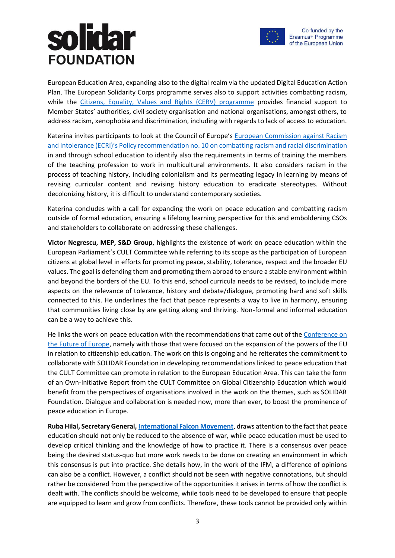## lida **FOUNDATION**



European Education Area, expanding also to the digital realm via the updated Digital Education Action Plan. The European Solidarity Corps programme serves also to support activities combatting racism, while the [Citizens, Equality, Values and Rights \(CERV\) programme](https://ec.europa.eu/info/funding-tenders/opportunities/portal/screen/programmes/cerv) provides financial support to Member States' authorities, civil society organisation and national organisations, amongst others, to address racism, xenophobia and discrimination, including with regards to lack of access to education.

Katerina invites participants to look at the Council of Europe's [European Commission against Racism](https://www.coe.int/en/web/european-commission-against-racism-and-intolerance/ecri-standards)  and Intolerance (ECRI)'s [Policy recommendation no. 10](https://www.coe.int/en/web/european-commission-against-racism-and-intolerance/ecri-standards) on combatting racism and racial discrimination in and through school education to identify also the requirements in terms of training the members of the teaching profession to work in multicultural environments. It also considers racism in the process of teaching history, including colonialism and its permeating legacy in learning by means of revising curricular content and revising history education to eradicate stereotypes. Without decolonizing history, it is difficult to understand contemporary societies.

Katerina concludes with a call for expanding the work on peace education and combatting racism outside of formal education, ensuring a lifelong learning perspective for this and emboldening CSOs and stakeholders to collaborate on addressing these challenges.

**Victor Negrescu, MEP, S&D Group**, highlights the existence of work on peace education within the European Parliament's CULT Committee while referring to its scope as the participation of European citizens at global level in efforts for promoting peace, stability, tolerance, respect and the broader EU values. The goal is defending them and promoting them abroad to ensure a stable environment within and beyond the borders of the EU. To this end, school curricula needs to be revised, to include more aspects on the relevance of tolerance, history and debate/dialogue, promoting hard and soft skills connected to this. He underlines the fact that peace represents a way to live in harmony, ensuring that communities living close by are getting along and thriving. Non-formal and informal education can be a way to achieve this.

He links the work on peace education with the recommendations that came out of the Conference on [the Future of Europe,](https://futureu.europa.eu/?locale=en) namely with those that were focused on the expansion of the powers of the EU in relation to citizenship education. The work on this is ongoing and he reiterates the commitment to collaborate with SOLIDAR Foundation in developing recommendations linked to peace education that the CULT Committee can promote in relation to the European Education Area. This can take the form of an Own-Initiative Report from the CULT Committee on Global Citizenship Education which would benefit from the perspectives of organisations involved in the work on the themes, such as SOLIDAR Foundation. Dialogue and collaboration is needed now, more than ever, to boost the prominence of peace education in Europe.

**Ruba Hilal, Secretary General[, International Falcon Movement](https://ifm-sei.org/)**, draws attention to the fact that peace education should not only be reduced to the absence of war, while peace education must be used to develop critical thinking and the knowledge of how to practice it. There is a consensus over peace being the desired status-quo but more work needs to be done on creating an environment in which this consensus is put into practice. She details how, in the work of the IFM, a difference of opinions can also be a conflict. However, a conflict should not be seen with negative connotations, but should rather be considered from the perspective of the opportunities it arises in terms of how the conflict is dealt with. The conflicts should be welcome, while tools need to be developed to ensure that people are equipped to learn and grow from conflicts. Therefore, these tools cannot be provided only within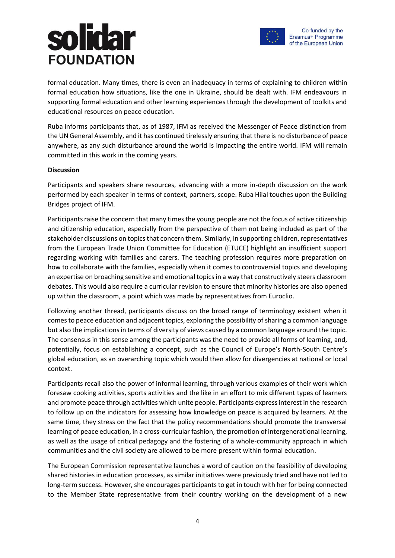# **TO3 FOUNDATION**



formal education. Many times, there is even an inadequacy in terms of explaining to children within formal education how situations, like the one in Ukraine, should be dealt with. IFM endeavours in supporting formal education and other learning experiences through the development of toolkits and educational resources on peace education.

Ruba informs participants that, as of 1987, IFM as received the Messenger of Peace distinction from the UN General Assembly, and it has continued tirelessly ensuring that there is no disturbance of peace anywhere, as any such disturbance around the world is impacting the entire world. IFM will remain committed in this work in the coming years.

### **Discussion**

Participants and speakers share resources, advancing with a more in-depth discussion on the work performed by each speaker in terms of context, partners, scope. Ruba Hilal touches upon the Building Bridges project of IFM.

Participants raise the concern that many times the young people are not the focus of active citizenship and citizenship education, especially from the perspective of them not being included as part of the stakeholder discussions on topics that concern them. Similarly, in supporting children, representatives from the European Trade Union Committee for Education (ETUCE) highlight an insufficient support regarding working with families and carers. The teaching profession requires more preparation on how to collaborate with the families, especially when it comes to controversial topics and developing an expertise on broaching sensitive and emotional topics in a way that constructively steers classroom debates. This would also require a curricular revision to ensure that minority histories are also opened up within the classroom, a point which was made by representatives from Euroclio.

Following another thread, participants discuss on the broad range of terminology existent when it comes to peace education and adjacent topics, exploring the possibility of sharing a common language but also the implications in terms of diversity of views caused by a common language around the topic. The consensus in this sense among the participants was the need to provide all forms of learning, and, potentially, focus on establishing a concept, such as the Council of Europe's North-South Centre's global education, as an overarching topic which would then allow for divergencies at national or local context.

Participants recall also the power of informal learning, through various examples of their work which foresaw cooking activities, sports activities and the like in an effort to mix different types of learners and promote peace through activities which unite people. Participants express interest in the research to follow up on the indicators for assessing how knowledge on peace is acquired by learners. At the same time, they stress on the fact that the policy recommendations should promote the transversal learning of peace education, in a cross-curricular fashion, the promotion of intergenerational learning, as well as the usage of critical pedagogy and the fostering of a whole-community approach in which communities and the civil society are allowed to be more present within formal education.

The European Commission representative launches a word of caution on the feasibility of developing shared histories in education processes, as similar initiatives were previously tried and have not led to long-term success. However, she encourages participants to get in touch with her for being connected to the Member State representative from their country working on the development of a new